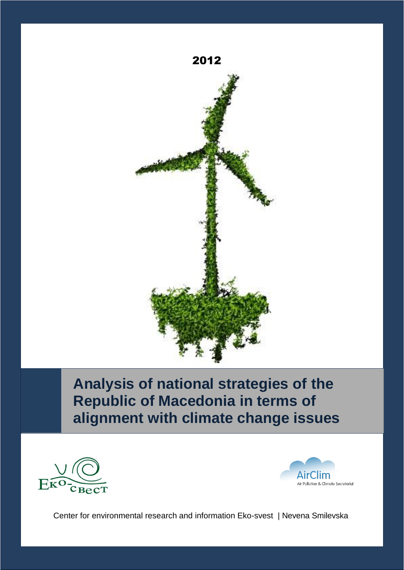

## **Analysis of national strategies of the Republic of Macedonia in terms of alignment with climate change issues**





Center for environmental research and information Eko-svest | Nevena Smilevska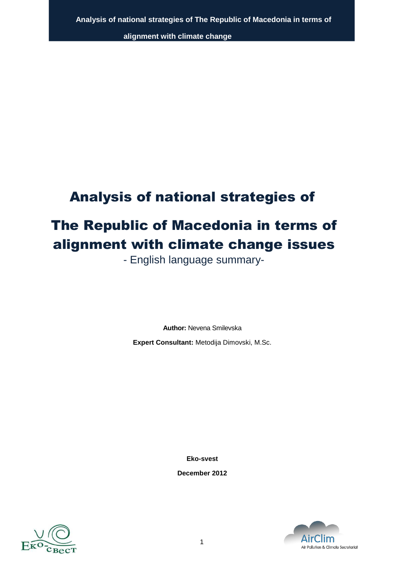## Analysis of national strategies of

# The Republic of Macedonia in terms of alignment with climate change issues

- English language summary-

**Author:** Nevena Smilevska **Expert Consultant:** Metodija Dimovski, M.Sc.

**Eko-svest**

**December 2012**



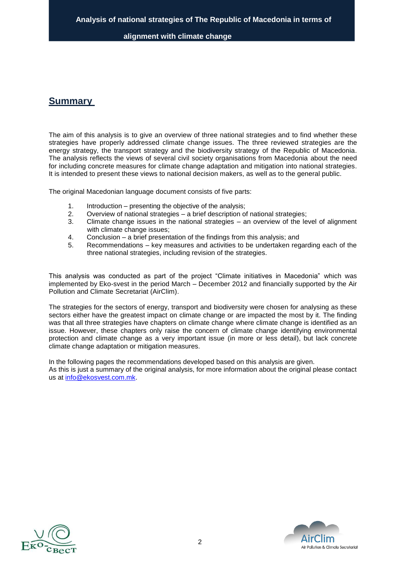## **Summary**

The aim of this analysis is to give an overview of three national strategies and to find whether these strategies have properly addressed climate change issues. The three reviewed strategies are the energy strategy, the transport strategy and the biodiversity strategy of the Republic of Macedonia. The analysis reflects the views of several civil society organisations from Macedonia about the need for including concrete measures for climate change adaptation and mitigation into national strategies. It is intended to present these views to national decision makers, as well as to the general public.

The original Macedonian language document consists of five parts:

- 1. Introduction presenting the objective of the analysis;<br>2. Overview of national strategies a brief description of
- 2. Overview of national strategies a brief description of national strategies;
- 3. Climate change issues in the national strategies an overview of the level of alignment with climate change issues;
- 4. Conclusion a brief presentation of the findings from this analysis; and
- 5. Recommendations key measures and activities to be undertaken regarding each of the three national strategies, including revision of the strategies.

This analysis was conducted as part of the project "Climate initiatives in Macedonia" which was implemented by Eko-svest in the period March – December 2012 and financially supported by the Air Pollution and Climate Secretariat (AirClim).

The strategies for the sectors of energy, transport and biodiversity were chosen for analysing as these sectors either have the greatest impact on climate change or are impacted the most by it. The finding was that all three strategies have chapters on climate change where climate change is identified as an issue. However, these chapters only raise the concern of climate change identifying environmental protection and climate change as a very important issue (in more or less detail), but lack concrete climate change adaptation or mitigation measures.

In the following pages the recommendations developed based on this analysis are given. As this is just a summary of the original analysis, for more information about the original please contact us at [info@ekosvest.com.mk.](mailto:info@ekosvest.com.mk)



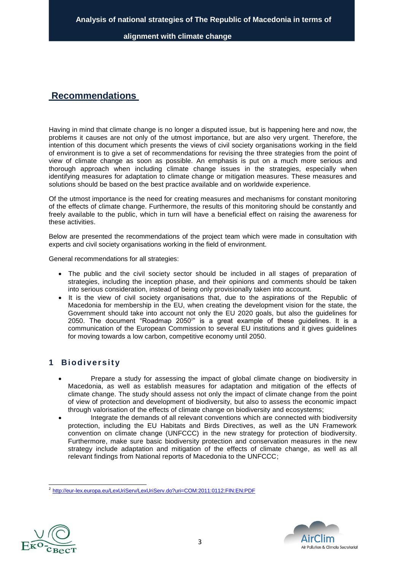## **Recommendations**

Having in mind that climate change is no longer a disputed issue, but is happening here and now, the problems it causes are not only of the utmost importance, but are also very urgent. Therefore, the intention of this document which presents the views of civil society organisations working in the field of environment is to give a set of recommendations for revising the three strategies from the point of view of climate change as soon as possible. An emphasis is put on a much more serious and thorough approach when including climate change issues in the strategies, especially when identifying measures for adaptation to climate change or mitigation measures. These measures and solutions should be based on the best practice available and on worldwide experience.

Of the utmost importance is the need for creating measures and mechanisms for constant monitoring of the effects of climate change. Furthermore, the results of this monitoring should be constantly and freely available to the public, which in turn will have a beneficial effect on raising the awareness for these activities.

Below are presented the recommendations of the project team which were made in consultation with experts and civil society organisations working in the field of environment.

General recommendations for all strategies:

- The public and the civil society sector should be included in all stages of preparation of strategies, including the inception phase, and their opinions and comments should be taken into serious consideration, instead of being only provisionally taken into account.
- It is the view of civil society organisations that, due to the aspirations of the Republic of Macedonia for membership in the EU, when creating the development vision for the state, the Government should take into account not only the EU 2020 goals, but also the guidelines for 2050. The document "Roadmap 2050<sup>2</sup>" is a great example of these guidelines. It is a communication of the European Commission to several EU institutions and it gives guidelines for moving towards a low carbon, competitive economy until 2050.

### **1 Biodiversity**

- Prepare a study for assessing the impact of global climate change on biodiversity in Macedonia, as well as establish measures for adaptation and mitigation of the effects of climate change. The study should assess not only the impact of climate change from the point of view of protection and development of biodiversity, but also to assess the economic impact through valorisation of the effects of climate change on biodiversity and ecosystems;
- Integrate the demands of all relevant conventions which are connected with biodiversity protection, including the EU Habitats and Birds Directives, as well as the UN Framework convention on climate change (UNFCCC) in the new strategy for protection of biodiversity. Furthermore, make sure basic biodiversity protection and conservation measures in the new strategy include adaptation and mitigation of the effects of climate change, as well as all relevant findings from National reports of Macedonia to the UNFCCC;

<sup>&</sup>lt;sup>2</sup> [http://eur-lex.europa.eu/LexUriServ/LexUriServ.do?uri=COM:2011:0112:FIN:EN:PDF](http://eur-lex.europa.eu/LexUriServ/LexUriServ.do?uri=COM%3A2011%3A0112%3AFIN%3AEN%3APDF)



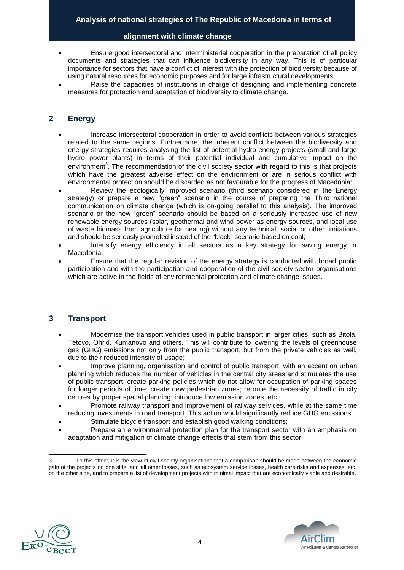- Ensure good intersectoral and interministerial cooperation in the preparation of all policy documents and strategies that can influence biodiversity in any way. This is of particular importance for sectors that have a conflict of interest with the protection of biodiversity because of using natural resources for economic purposes and for large infrastructural developments;
- Raise the capacities of institutions in charge of designing and implementing concrete measures for protection and adaptation of biodiversity to climate change.

## **2 Energy**

- Increase intersectoral cooperation in order to avoid conflicts between various strategies related to the same regions. Furthermore, the inherent conflict between the biodiversity and energy strategies requires analysing the list of potential hydro energy projects (small and large hydro power plants) in terms of their potential individual and cumulative impact on the environment<sup>3</sup>. The recommendation of the civil society sector with regard to this is that projects which have the greatest adverse effect on the environment or are in serious conflict with environmental protection should be discarded as not favourable for the progress of Macedonia;
- Review the ecologically improved scenario (third scenario considered in the Energy strategy) or prepare a new "green" scenario in the course of preparing the Third national communication on climate change (which is on-going parallel to this analysis). The improved scenario or the new "green" scenario should be based on a seriously increased use of new renewable energy sources (solar, geothermal and wind power as energy sources, and local use of waste biomass from agriculture for heating) without any technical, social or other limitations and should be seriously promoted instead of the "black" scenario based on coal;
- Intensify energy efficiency in all sectors as a key strategy for saving energy in Macedonia;
- Ensure that the regular revision of the energy strategy is conducted with broad public participation and with the participation and cooperation of the civil society sector organisations which are active in the fields of environmental protection and climate change issues.

### **3 Transport**

- Modernise the transport vehicles used in public transport in larger cities, such as Bitola, Tetovo, Ohrid, Kumanovo and others. This will contribute to lowering the levels of greenhouse gas (GHG) emissions not only from the public transport, but from the private vehicles as well, due to their reduced intensity of usage;
- Improve planning, organisation and control of public transport, with an accent on urban planning which reduces the number of vehicles in the central city areas and stimulates the use of public transport; create parking policies which do not allow for occupation of parking spaces for longer periods of time; create new pedestrian zones; reroute the necessity of traffic in city centres by proper spatial planning; introduce low emission zones, etc.;
- Promote railway transport and improvement of railway services, while at the same time reducing investments in road transport. This action would significantly reduce GHG emissions;
- Stimulate bicycle transport and establish good walking conditions;
- Prepare an environmental protection plan for the transport sector with an emphasis on adaptation and mitigation of climate change effects that stem from this sector.





<sup>3</sup> To this effect, it is the view of civil society organisations that a comparison should be made between the economic gain of the projects on one side, and all other losses, such as ecosystem service losses, health care risks and expenses, etc. on the other side, and to prepare a list of development projects with minimal impact that are economically viable and desirable.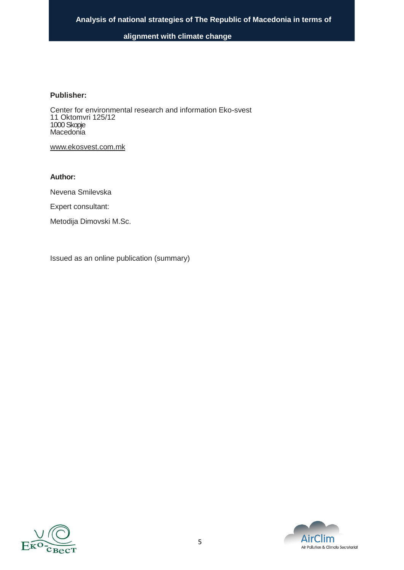#### **Publisher:**

Center for environmental research and information Eko-svest 11 Oktomvri 125/12 1000Skopje **Macedonia** 

[www.ekosvest.com.mk](http://www.ekosvest.com.mk/)

#### **Author:**

Nevena Smilevska

Expert consultant:

Metodija Dimovski M.Sc.

Issued as an online publication (summary)